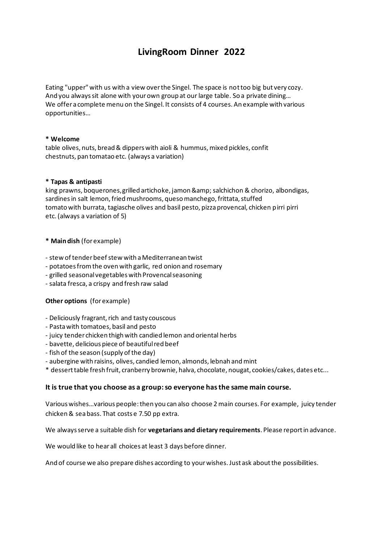# **LivingRoom Dinner 2022**

Eating "upper" with us with a view over the Singel. The space is not too big but very cozy. And you always sit alone with your own group at our large table. So a private dining… We offer a complete menu on the Singel. It consists of 4 courses. An example with various opportunities…

### **\* Welcome**

table olives, nuts, bread & dippers with aioli & hummus, mixed pickles, confit chestnuts, pan tomatao etc. (always a variation)

#### **\* Tapas & antipasti**

king prawns, boquerones, grilled artichoke, jamon & salchichon & chorizo, albondigas, sardines in salt lemon, fried mushrooms, queso manchego, frittata, stuffed tomato with burrata, tagiasche olives and basil pesto, pizza provencal, chicken pirri pirri etc. (always a variation of 5)

### **\* Main dish** (for example)

- stew of tender beef stew with a Mediterranean twist
- potatoes from the oven with garlic, red onion and rosemary
- grilled seasonal vegetables with Provencal seasoning
- salata fresca, a crispy and fresh raw salad

### **Other options** (for example)

- Deliciously fragrant, rich and tasty couscous
- Pasta with tomatoes, basil and pesto
- juicy tender chicken thigh with candied lemon and oriental herbs
- bavette, delicious piece of beautiful red beef
- fish of the season (supply of the day)
- aubergine with raisins, olives, candied lemon, almonds, lebnah and mint

\* dessert table fresh fruit, cranberry brownie, halva, chocolate, nougat, cookies/cakes, dates etc...

### **It is true that you choose as a group: so everyone has the same main course.**

Various wishes…various people: then you can also choose 2 main courses. For example, juicy tender chicken & sea bass. That costs e 7.50 pp extra.

We always serve a suitable dish for **vegetarians and dietary requirements**. Please report in advance.

We would like to hear all choices at least 3 days before dinner.

And of course we also prepare dishes according to your wishes. Just ask about the possibilities.